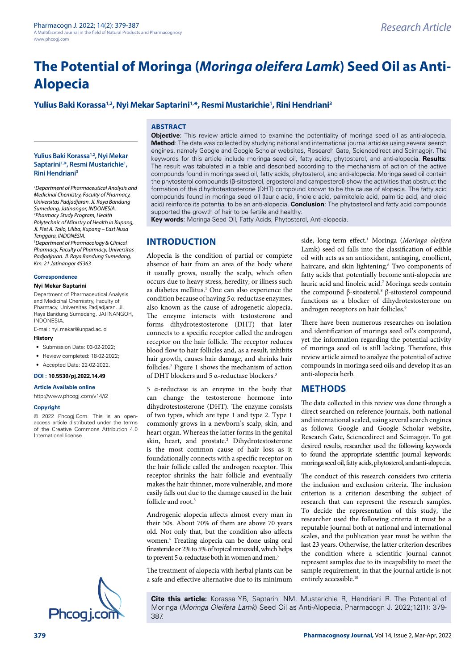# **Yulius Baki Korassa1,2, Nyi Mekar Saptarini1,\*, Resmi Mustarichie1 , Rini Hendriani3**

# **ABSTRACT**

#### **Yulius Baki Korassa1,2, Nyi Mekar**  Saptarini<sup>1,\*</sup>, Resmi Mustarichie<sup>1</sup>, **Rini Hendriani3**

*1 Department of Pharmaceutical Analysis and Medicinal Chemistry, Faculty of Pharmacy, Universitas Padjadjaran. Jl. Raya Bandung Sumedang, Jatinangor, INDONESIA. 2 Pharmacy Study Program, Health Polytechnic of Ministry of Health in Kupang, Jl. Piet A. Tallo, Liliba, Kupang – East Nusa Tenggara, INDONESIA.*

*3 Department of Pharmacology & Clinical Pharmacy, Faculty of Pharmacy, Universitas Padjadjaran. Jl. Raya Bandung Sumedang, Km. 21 Jatinangor 45363*

#### **Correspondence**

#### **Nyi Mekar Saptarini**

Department of Pharmaceutical Analysis and Medicinal Chemistry, Faculty of Pharmacy, Universitas Padjadjaran. Jl. Raya Bandung Sumedang, JATINANGOR, INDONESIA.

E-mail: nyi.mekar@unpad.ac.id

#### **History**

- Submission Date: 03-02-2022;
- Review completed: 18-02-2022;
- Accepted Date: 22-02-2022.

#### **DOI : 10.5530/pj.2022.14.49**

#### **Article Available online**

[http://www.phcogj.com/v14/i2](http://www.phcogj.com/v13/i4)

#### **Copyright**

© 2022 Phcogj.Com. This is an openaccess article distributed under the terms of the Creative Commons Attribution 4.0 International license.

**Objective**: This review article aimed to examine the potentiality of moringa seed oil as anti-alopecia. **Method**: The data was collected by studying national and international journal articles using several search engines, namely Google and Google Scholar websites, Research Gate, Sciencedirect and Scimagojr. The keywords for this article include moringa seed oil, fatty acids, phytosterol, and anti-alopecia. **Results**: The result was tabulated in a table and described according to the mechanism of action of the active compounds found in moringa seed oil, fatty acids, phytosterol, and anti-alopecia. Moringa seed oil contain the phytosterol compounds (β-sitosterol, ergosterol and campesterol) show the activities that obstruct the formation of the dihydrotestosterone (DHT) compound known to be the cause of alopecia. The fatty acid compounds found in moringa seed oil (lauric acid, linoleic acid, palmitoleic acid, palmitic acid, and oleic acid) reinforce its potential to be an anti-alopecia. **Conclusion**: The phytosterol and fatty acid compounds supported the growth of hair to be fertile and healthy.

**Key words**: Moringa Seed Oil, Fatty Acids, Phytosterol, Anti-alopecia.

### **INTRODUCTION**

Alopecia is the condition of partial or complete absence of hair from an area of the body where it usually grows, usually the scalp, which often occurs due to heavy stress, heredity, or illness such as diabetes mellitus.<sup>1</sup> One can also experience the condition because of having *5* α*-*reductase enzymes, also known as the cause of adrogenetic alopecia. The enzyme interacts with testosterone and forms dihydrotestosterone (DHT) that later connects to a specific receptor called the androgen receptor on the hair follicle. The receptor reduces blood flow to hair follicles and, as a result, inhibits hair growth, causes hair damage, and shrinks hair follicles.2 Figure 1 shows the mechanism of action of DHT blockers and 5 α-reductase blockers.<sup>3</sup>

5 α-reductase is an enzyme in the body that can change the testosterone hormone into dihydrotestosterone (DHT). The enzyme consists of two types, which are type 1 and type 2. Type 1 commonly grows in a newborn's scalp, skin, and heart organ. Whereas the latter forms in the genital skin, heart, and prostate.<sup>2</sup> Dihydrotestosterone is the most common cause of hair loss as it foundationally connects with a specific receptor on the hair follicle called the androgen receptor. This receptor shrinks the hair follicle and eventually makes the hair thinner, more vulnerable, and more easily falls out due to the damage caused in the hair follicle and root.<sup>3</sup>

Androgenic alopecia affects almost every man in their 50s. About 70% of them are above 70 years old. Not only that, but the condition also affects women.4 Treating alopecia can be done using oral finasteride or 2% to 5% of topical minoxidil, which helps to prevent 5 α-reductase both in women and men.<sup>5</sup>

The treatment of alopecia with herbal plants can be a safe and effective alternative due to its minimum side, long-term effect.<sup>1</sup> Moringa (Moringa oleifera Lamk) seed oil falls into the classification of edible oil with acts as an antioxidant, antiaging, emollient, haircare, and skin lightening.<sup>6</sup> Two components of fatty acids that potentially become anti-alopecia are lauric acid and linoleic acid.7 Moringa seeds contain the compound β-sitosterol.<sup>8</sup> β-sitosterol compound functions as a blocker of dihydrotestosterone on androgen receptors on hair follicles.<sup>9</sup>

There have been numerous researches on isolation and identification of moringa seed oil's compound, yet the information regarding the potential activity of moringa seed oil is still lacking. Therefore, this review article aimed to analyze the potential of active compounds in moringa seed oils and develop it as an anti-alopecia herb.

### **METHODS**

The data collected in this review was done through a direct searched on reference journals, both national and international scaled, using several search engines as follows: Google and Google Scholar website, Research Gate, Sciencedirect and Scimagojr. To got desired results, researcher used the following keywords to found the appropriate scientific journal keywords: moringa seed oil, fatty acids, phytosterol, and anti-alopecia.

The conduct of this research considers two criteria the inclusion and exclusion criteria. The inclusion criterion is a criterion describing the subject of research that can represent the research samples. To decide the representation of this study, the researcher used the following criteria it must be a reputable journal both at national and international scales, and the publication year must be within the last 23 years. Otherwise, the latter criterion describes the condition where a scientific journal cannot represent samples due to its incapability to meet the sample requirement, in that the journal article is not entirely accessible.<sup>10</sup>

**Cite this article:** Korassa YB, Saptarini NM, Mustarichie R, Hendriani R. The Potential of Moringa (*Moringa Oleifera Lamk*) Seed Oil as Anti-Alopecia. Pharmacogn J. 2022;12(1): 379-<br>387.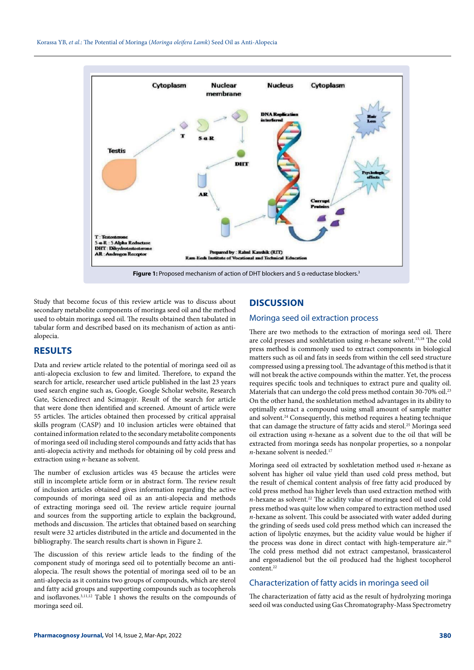

Study that become focus of this review article was to discuss about secondary metabolite components of moringa seed oil and the method used to obtain moringa seed oil. The results obtained then tabulated in tabular form and described based on its mechanism of action as antialopecia.

# **RESULTS**

Data and review article related to the potential of moringa seed oil as anti-alopecia exclusion to few and limited. Therefore, to expand the search for article, researcher used article published in the last 23 years used search engine such as, Google, Google Scholar website, Research Gate, Sciencedirect and Scimagojr. Result of the search for article that were done then identified and screened. Amount of article were 55 articles. The articles obtained then processed by critical appraisal skills program (CASP) and 10 inclusion articles were obtained that contained information related to the secondary metabolite components of moringa seed oil including sterol compounds and fatty acids that has anti-alopecia activity and methods for obtaining oil by cold press and extraction using *n*-hexane as solvent.

The number of exclusion articles was 45 because the articles were still in incomplete article form or in abstract form. The review result of inclusion articles obtained gives information regarding the active compounds of moringa seed oil as an anti-alopecia and methods of extracting moringa seed oil. The review article require journal and sources from the supporting article to explain the background, methods and discussion. The articles that obtained based on searching result were 32 articles distributed in the article and documented in the bibliography. The search results chart is shown in Figure 2.

The discussion of this review article leads to the finding of the component study of moringa seed oil to potentially become an antialopecia. The result shows the potential of moringa seed oil to be an anti-alopecia as it contains two groups of compounds, which are sterol and fatty acid groups and supporting compounds such as tocopherols and isoflavones.3,11,12 Table 1 shows the results on the compounds of moringa seed oil.

# **DISCUSSION**

### Moringa seed oil extraction process

There are two methods to the extraction of moringa seed oil. There are cold presses and soxhletation using *n*-hexane solvent.<sup>15,18</sup> The cold press method is commonly used to extract components in biological matters such as oil and fats in seeds from within the cell seed structure compressed using a pressing tool. The advantage of this method is that it will not break the active compounds within the matter. Yet, the process requires specific tools and techniques to extract pure and quality oil. Materials that can undergo the cold press method contain 30-70% oil.<sup>23</sup> On the other hand, the soxhletation method advantages in its ability to optimally extract a compound using small amount of sample matter and solvent.24 Consequently, this method requires a heating technique that can damage the structure of fatty acids and sterol.<sup>25</sup> Moringa seed oil extraction using *n*-hexane as a solvent due to the oil that will be extracted from moringa seeds has nonpolar properties, so a nonpolar *n*-hexane solvent is needed.<sup>17</sup>

Moringa seed oil extracted by soxhletation method used *n*-hexane as solvent has higher oil value yield than used cold press method, but the result of chemical content analysis of free fatty acid produced by cold press method has higher levels than used extraction method with *n*-hexane as solvent.<sup>22</sup> The acidity value of moringa seed oil used cold press method was quite low when compared to extraction method used *n*-hexane as solvent. This could be associated with water added during the grinding of seeds used cold press method which can increased the action of lipolytic enzymes, but the acidity value would be higher if the process was done in direct contact with high-temperature air.<sup>26</sup> The cold press method did not extract campestanol, brassicasterol and ergostadienol but the oil produced had the highest tocopherol content.22

### Characterization of fatty acids in moringa seed oil

The characterization of fatty acid as the result of hydrolyzing moringa seed oil was conducted using Gas Chromatography-Mass Spectrometry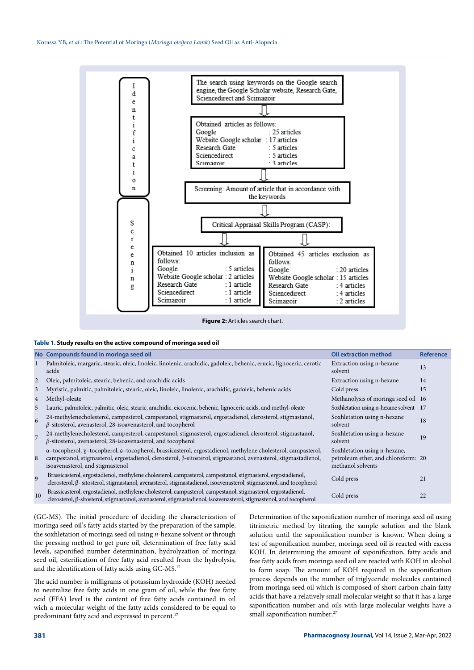

Figure 2: Articles search chart.

#### **Table 1. Study results on the active compound of moringa seed oil**

|                | No Compounds found in moringa seed oil                                                                                                                                                                                                                               | <b>Oil extraction method</b>                                                             | <b>Reference</b> |
|----------------|----------------------------------------------------------------------------------------------------------------------------------------------------------------------------------------------------------------------------------------------------------------------|------------------------------------------------------------------------------------------|------------------|
|                | Palmitoleic, margaric, stearic, oleic, linoleic, linolenic, arachidic, gadoleic, behenic, erucic, lignoceric, cerotic<br>acids                                                                                                                                       | Extraction using n-hexane<br>solvent                                                     | 13               |
| 2              | Oleic, palmitoleic, stearic, behenic, and arachidic acids                                                                                                                                                                                                            | Extraction using n-hexane                                                                | 14               |
| 3              | Myristic, palmitic, palmitoleic, stearic, oleic, linoleic, linolenic, arachidic, gadoleic, behenic acids                                                                                                                                                             | Cold press                                                                               | 15               |
| 4              | Methyl-oleate                                                                                                                                                                                                                                                        | Methanolysis of moringa seed oil 16                                                      |                  |
| 5              | Lauric, palmitoleic, palmitic, oleic, stearic, arachidic, eicocenic, behenic, lignoceric acids, and methyl-oleate                                                                                                                                                    | Soxhletation using n-hexane solvent 17                                                   |                  |
| 6              | 24-methylenecholesterol, campesterol, campestanol, stigmasterol, ergostadienol, clerosterol, stigmastanol,<br>$\beta$ -sitosterol, avenasterol, 28-isoavenasterol, and tocopherol                                                                                    | Soxhletation using n-hexane<br>solvent                                                   | 18               |
| $\overline{7}$ | 24-methylenecholesterol, campesterol, campestanol, stigmasterol, ergostadienol, clerosterol, stigmastanol,<br>$\beta$ -sitosterol, avenasterol, 28-isoavenasterol, and tocopherol                                                                                    | Soxhletation using n-hexane<br>solvent                                                   | 19               |
| 8              | a-tocopherol, y-tocopherol, e-tocopherol, brassicasterol, ergostadienol, methylene cholesterol, campasterol,<br>campestanol, stigmasterol, ergostadienol, clerosterol, β-sitosterol, stigmastanol, avenasterol, stigmastadienol,<br>isoavenasterol, and stigmastenol | Soxhletation using n-hexane,<br>petroleum ether, and chloroform: 20<br>methanol solvents |                  |
| $\overline{9}$ | Brassicasterol, ergostadienol, methylene cholesterol, campasterol, campestanol, stigmasterol, ergostadienol,<br>clerosterol, β- sitosterol, stigmastanol, avenasterol, stigmastadienol, isoavenasterol, stigmastenol, and tocopherol                                 | Cold press                                                                               | 21               |
| 10             | Brassicasterol, ergostadienol, methylene cholesterol, campasterol, campestanol, stigmasterol, ergostadienol,<br>clerosterol, β-sitosterol, stigmastanol, avenasterol, stigmastadienol, isoavenasterol, stigmastenol, and tocopherol                                  | Cold press                                                                               | 22               |

(GC-MS). The initial procedure of deciding the characterization of moringa seed oil's fatty acids started by the preparation of the sample, the soxhletation of moringa seed oil using *n*-hexane solvent or through the pressing method to get pure oil, determination of free fatty acid levels, saponified number determination, hydrolyzation of moringa seed oil, esterification of free fatty acid resulted from the hydrolysis, and the identification of fatty acids using GC-MS.17

The acid number is milligrams of potassium hydroxide (KOH) needed to neutralize free fatty acids in one gram of oil, while the free fatty acid (FFA) level is the content of free fatty acids contained in oil wich a molecular weight of the fatty acids considered to be equal to predominant fatty acid and expressed in percent.<sup>17</sup>

Determination of the saponification number of moringa seed oil using titrimetric method by titrating the sample solution and the blank solution until the saponification number is known. When doing a test of saponification number, moringa seed oil is reacted with excess KOH. In determining the amount of saponification, fatty acids and free fatty acids from moringa seed oil are reacted with KOH in alcohol to form soap. The amount of KOH required in the saponification process depends on the number of triglyceride molecules contained from moringa seed oil which is composed of short carbon chain fatty acids that have a relatively small molecular weight so that it has a large saponification number and oils with large molecular weights have a small saponification number.<sup>27</sup>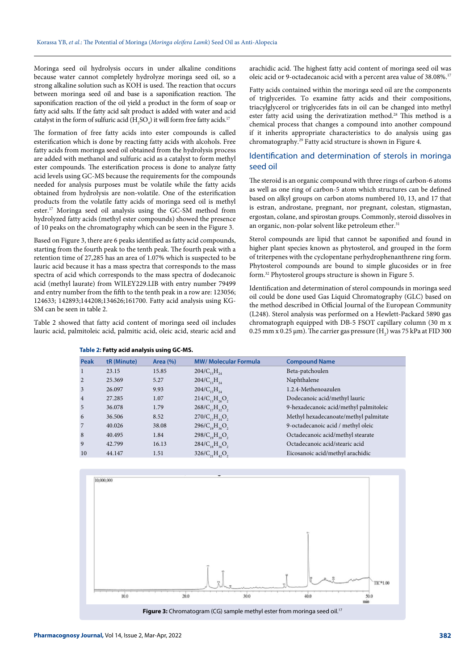Moringa seed oil hydrolysis occurs in under alkaline conditions because water cannot completely hydrolyze moringa seed oil, so a strong alkaline solution such as KOH is used. The reaction that occurs between moringa seed oil and base is a saponification reaction. The saponification reaction of the oil yield a product in the form of soap or fatty acid salts. If the fatty acid salt product is added with water and acid catalyst in the form of sulfuric acid  $(\mathrm{H}_{2}SO_{4})$  it will form free fatty acids.<sup>17</sup>

The formation of free fatty acids into ester compounds is called esterification which is done by reacting fatty acids with alcohols. Free fatty acids from moringa seed oil obtained from the hydrolysis process are added with methanol and sulfuric acid as a catalyst to form methyl ester compounds. The esterification process is done to analyze fatty acid levels using GC-MS because the requirements for the compounds needed for analysis purposes must be volatile while the fatty acids obtained from hydrolysis are non-volatile. One of the esterification products from the volatile fatty acids of moringa seed oil is methyl ester.17 Moringa seed oil analysis using the GC-SM method from hydrolyzed fatty acids (methyl ester compounds) showed the presence of 10 peaks on the chromatography which can be seen in the Figure 3.

Based on Figure 3, there are 6 peaks identified as fatty acid compounds, starting from the fourth peak to the tenth peak. The fourth peak with a retention time of 27,285 has an area of 1.07% which is suspected to be lauric acid because it has a mass spectra that corresponds to the mass spectra of acid which corresponds to the mass spectra of dodecanoic acid (methyl laurate) from WILEY229.LIB with entry number 79499 and entry number from the fifth to the tenth peak in a row are: 123056; 124633; 142893;144208;134626;161700. Fatty acid analysis using KG-SM can be seen in table 2.

Table 2 showed that fatty acid content of moringa seed oil includes lauric acid, palmitoleic acid, palmitic acid, oleic acid, stearic acid and

**Table 2: Fatty acid analysis using GC-MS.**

arachidic acid. The highest fatty acid content of moringa seed oil was oleic acid or 9-octadecanoic acid with a percent area value of 38.08%.17

Fatty acids contained within the moringa seed oil are the components of triglycerides. To examine fatty acids and their compositions, triacylglycerol or triglycerides fats in oil can be changed into methyl ester fatty acid using the derivatization method.<sup>28</sup> This method is a chemical process that changes a compound into another compound if it inherits appropriate characteristics to do analysis using gas chromatography.29 Fatty acid structure is shown in Figure 4.

### Identification and determination of sterols in moringa seed oil

The steroid is an organic compound with three rings of carbon-6 atoms as well as one ring of carbon-5 atom which structures can be defined based on alkyl groups on carbon atoms numbered 10, 13, and 17 that is estran, androstane, pregnant, nor pregnant, colestan, stigmastan, ergostan, colane, and spirostan groups. Commonly, steroid dissolves in an organic, non-polar solvent like petroleum ether.<sup>31</sup>

Sterol compounds are lipid that cannot be saponified and found in higher plant species known as phytosterol, and grouped in the form of triterpenes with the cyclopentane perhydrophenanthrene ring form. Phytosterol compounds are bound to simple glucosides or in free form.32 Phytosterol groups structure is shown in Figure 5.

Identification and determination of sterol compounds in moringa seed oil could be done used Gas Liquid Chromatography (GLC) based on the method described in Official Journal of the European Community (L248). Sterol analysis was performed on a Hewlett-Packard 5890 gas chromatograph equipped with DB-5 FSOT capillary column (30 m x 0.25 mm x 0.25  $\mu$ m). The carrier gas pressure (H<sub>2</sub>) was 75 kPa at FID 300

| <b>Peak</b>    | tR (Minute) | Area $(\% )$ | <b>MW/ Molecular Formula</b>                 | <b>Compound Name</b>                   |
|----------------|-------------|--------------|----------------------------------------------|----------------------------------------|
| 1              | 23.15       | 15.85        | $204/C_{15}H_{24}$                           | Beta-patchoulen                        |
| 2              | 25.369      | 5.27         | $204/C_{15}H_{24}$                           | Naphthalene                            |
| 3              | 26.097      | 9.93         | $204/C_{15}H_{24}$                           | 1.2.4-Methenoazulen                    |
| $\overline{4}$ | 27.285      | 1.07         | $214/C_{12}H_{22}O_{2}$                      | Dodecanoic acid/methyl lauric          |
| 5              | 36.078      | 1.79         | 268/C, H, O,                                 | 9-hexadecanoic acid/methyl palmitoleic |
| 6              | 36.506      | 8.52         | $270/C_{1,7}H_{2,0}$                         | Methyl hexadecanoate/methyl palmitate  |
| 7              | 40.026      | 38.08        | $296/C_{10}H_{26}O_{2}$                      | 9-octadecanoic acid / methyl oleic     |
| 8              | 40.495      | 1.84         | $298/C_{10}H_{38}O_2$                        | Octadecanoic acid/methyl stearate      |
| 9              | 42.799      | 16.13        | $284/C_{10}H_{26}O_{2}$                      | Octadecanoic acid/stearic acid         |
| 10             | 44.147      | 1.51         | $326/C_{2}$ , H <sub>42</sub> O <sub>2</sub> | Eicosanoic acid/methyl arachidic       |
|                |             |              |                                              |                                        |

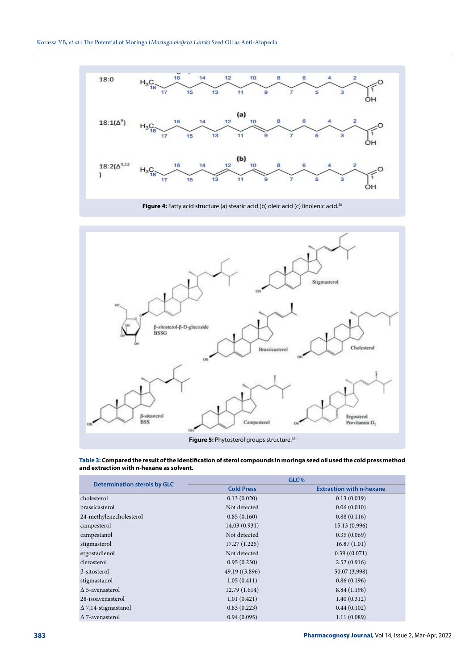

**Figure 4:** Fatty acid structure (a) stearic acid (b) oleic acid (c) linolenic acid.<sup>30</sup>



**Table 3: Compared the result of the identification of sterol compounds in moringa seed oil used the cold press method and extraction with** *n***-hexane as solvent.**

| <b>Determination sterols by GLC</b> | GLC%              |                                 |  |
|-------------------------------------|-------------------|---------------------------------|--|
|                                     | <b>Cold Press</b> | <b>Extraction with n-hexane</b> |  |
| cholesterol                         | 0.13(0.020)       | 0.13(0.019)                     |  |
| brassicasterol                      | Not detected      | 0.06(0.010)                     |  |
| 24-methylenecholesterol             | 0.85(0.160)       | 0.88(0.116)                     |  |
| campesterol                         | 14.03 (0.931)     | 15.13 (0.996)                   |  |
| campestanol                         | Not detected      | 0.35(0.069)                     |  |
| stigmasterol                        | 17.27(1.225)      | 16.87(1.01)                     |  |
| ergostadienol                       | Not detected      | 0.39(0.071)                     |  |
| clerosterol                         | 0.95(0.230)       | 2.52(0.916)                     |  |
| $\beta$ -sitosterol                 | 49.19 ((3.896)    | 50.07 (3.998)                   |  |
| stigmastanol                        | 1.05(0.411)       | 0.86(0.196)                     |  |
| $\Delta$ 5-avenasterol              | 12.79(1.614)      | 8.84 (1.198)                    |  |
| 28-isoavenasterol                   | 1.01(0.421)       | 1.40(0.312)                     |  |
| $\Delta$ 7,14-stigmastanol          | 0.83(0.223)       | 0.44(0.102)                     |  |
| $\Delta$ 7-avenasterol              | 0.94(0.095)       | 1.11(0.089)                     |  |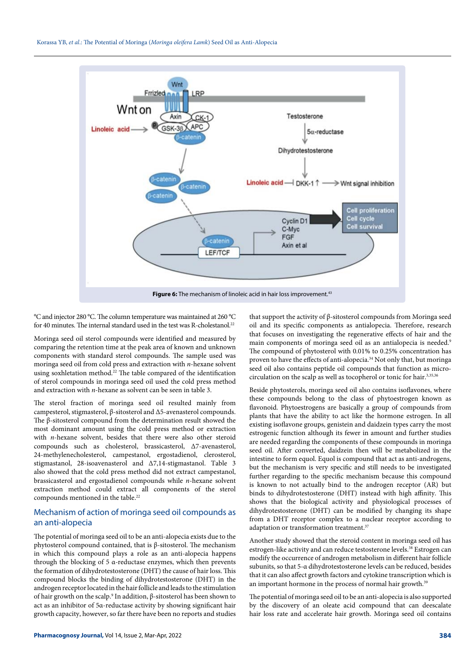

°C and injector 280 °C. The column temperature was maintained at 260 °C for 40 minutes. The internal standard used in the test was R-cholestanol.<sup>22</sup>

Moringa seed oil sterol compounds were identified and measured by comparing the retention time at the peak area of known and unknown components with standard sterol compounds. The sample used was moringa seed oil from cold press and extraction with *n*-hexane solvent using soxhletation method.22 The table compared of the identification of sterol compounds in moringa seed oil used the cold press method and extraction with *n*-hexane as solvent can be seen in table 3.

The sterol fraction of moringa seed oil resulted mainly from campesterol, stigmasterol, β-sitosterol and Δ5-avenasterol compounds. The β-sitosterol compound from the determination result showed the most dominant amount using the cold press method or extraction with *n*-hexane solvent, besides that there were also other steroid compounds such as cholesterol, brassicasterol, Δ7-avenasterol, 24-methylenecholesterol, campestanol, ergostadienol, clerosterol, stigmastanol, 28-isoavenasterol and Δ7,14-stigmastanol. Table 3 also showed that the cold press method did not extract campestanol, brassicasterol and ergostadienol compounds while *n*-hexane solvent extraction method could extract all components of the sterol compounds mentioned in the table.<sup>22</sup>

### Mechanism of action of moringa seed oil compounds as an anti-alopecia

The potential of moringa seed oil to be an anti-alopecia exists due to the phytosterol compound contained, that is β-sitosterol. The mechanism in which this compound plays a role as an anti-alopecia happens through the blocking of 5 α-reductase enzymes, which then prevents the formation of dihydrotestosterone (DHT) the cause of hair loss. This compound blocks the binding of dihydrotestosterone (DHT) in the androgen receptor located in the hair follicle and leads to the stimulation of hair growth on the scalp.<sup>9</sup> In addition, β-sitosterol has been shown to act as an inhibitor of 5α-reductase activity by showing significant hair growth capacity, however, so far there have been no reports and studies

that support the activity of β-sitosterol compounds from Moringa seed oil and its specific components as antialopecia. Therefore, research that focuses on investigating the regenerative effects of hair and the main components of moringa seed oil as an antialopecia is needed.9 The compound of phytosterol with 0.01% to 0.25% concentration has proven to have the effects of anti-alopecia.<sup>34</sup> Not only that, but moringa seed oil also contains peptide oil compounds that function as microcirculation on the scalp as well as tocopherol or tonic for hair.3,35,36

Beside phytosterols, moringa seed oil also contains isoflavones, where these compounds belong to the class of phytoestrogen known as flavonoid. Phytoestrogens are basically a group of compounds from plants that have the ability to act like the hormone estrogen. In all existing isoflavone groups, genistein and daidzein types carry the most estrogenic function although its fewer in amount and further studies are needed regarding the components of these compounds in moringa seed oil. After converted, daidzein then will be metabolized in the intestine to form equol. Equol is compound that act as anti-androgens, but the mechanism is very specific and still needs to be investigated further regarding to the specific mechanism because this compound is known to not actually bind to the androgen receptor (AR) but binds to dihydrotestosterone (DHT) instead with high affinity. This shows that the biological activity and physiological processes of dihydrotestosterone (DHT) can be modified by changing its shape from a DHT receptor complex to a nuclear receptor according to adaptation or transformation treatment.<sup>37</sup>

Another study showed that the steroid content in moringa seed oil has estrogen-like activity and can reduce testosterone levels.<sup>38</sup> Estrogen can modify the occurrence of androgen metabolism in different hair follicle subunits, so that 5-α dihydrotestosterone levels can be reduced, besides that it can also affect growth factors and cytokine transcription which is an important hormone in the process of normal hair growth.<sup>39</sup>

The potential of moringa seed oil to be an anti-alopecia is also supported by the discovery of an oleate acid compound that can deescalate hair loss rate and accelerate hair growth. Moringa seed oil contains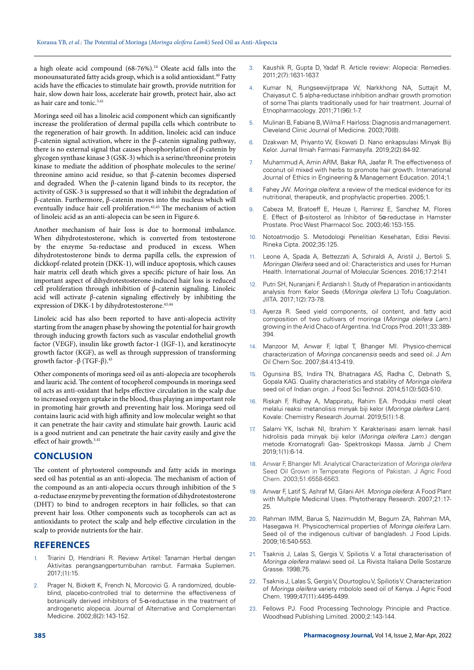a high oleate acid compound (68-76%).14 Oleate acid falls into the monounsaturated fatty acids group, which is a solid antioxidant.40 Fatty acids have the efficacies to stimulate hair growth, provide nutrition for hair, slow down hair loss, accelerate hair growth, protect hair, also act as hair care and tonic.<sup>3,41</sup>

Moringa seed oil has a linoleic acid component which can significantly increase the proliferation of dermal papilla cells which contribute to the regeneration of hair growth. In addition, linoleic acid can induce β-catenin signal activation, where in the β-catenin signaling pathway, there is no external signal that causes phosphorylation of β-catenin by glycogen synthase kinase 3 (GSK-3) which is a serine/threonine protein kinase to mediate the addition of phosphate molecules to the serine/ threonine amino acid residue, so that β-catenin becomes dispersed and degraded. When the β-catenin ligand binds to its receptor, the activity of GSK-3 is suppressed so that it will inhibit the degradation of β-catenin. Furthermore, β-catenin moves into the nucleus which will eventually induce hair cell proliferation.<sup>42,43</sup> The mechanism of action of linoleic acid as an anti-alopecia can be seen in Figure 6.

Another mechanism of hair loss is due to hormonal imbalance. When dihydrotestosterone, which is converted from testosterone by the enzyme 5α-reductase and produced in excess. When dihydrotestosterone binds to derma papilla cells, the expression of dickkopf-related protein (DKK-1), will induce apoptosis, which causes hair matrix cell death which gives a specific picture of hair loss. An important aspect of dihydrotestosterone-induced hair loss is reduced cell proliferation through inhibition of β-catenin signaling. Linoleic acid will activate β-catenin signaling effectively by inhibiting the expression of DKK-1 by dihydrotestosterone.<sup>43,44</sup>

Linoleic acid has also been reported to have anti-alopecia activity starting from the anagen phase by showing the potential for hair growth through inducing growth factors such as vascular endothelial growth factor (VEGF), insulin like growth factor-1 (IGF-1), and keratinocyte growth factor (KGF), as well as through suppression of transforming growth factor -β (TGF-β).<sup>45</sup>

Other components of moringa seed oil as anti-alopecia are tocopherols and lauric acid. The content of tocopherol compounds in moringa seed oil acts as anti-oxidant that helps effective circulation in the scalp due to increased oxygen uptake in the blood, thus playing an important role in promoting hair growth and preventing hair loss. Moringa seed oil contains lauric acid with high affinity and low molecular weight so that it can penetrate the hair cavity and stimulate hair growth. Lauric acid is a good nutrient and can penetrate the hair cavity easily and give the effect of hair growth.3,41

### **CONCLUSION**

The content of phytosterol compounds and fatty acids in moringa seed oil has potential as an anti-alopecia. The mechanism of action of the compound as an anti-alopecia occurs through inhibition of the 5 α-reductase enzyme by preventing the formation of dihydrotestosterone (DHT) to bind to androgen receptors in hair follicles, so that can prevent hair loss. Other components such as tocopherols can act as antioxidants to protect the scalp and help effective circulation in the scalp to provide nutrients for the hair.

### **REFERENCES**

- Triarini D, Hendriani R. Review Artikel: Tanaman Herbal dengan Aktivitas perangsangpertumbuhan rambut. Farmaka Suplemen. 2017;(1):15.
- 2. Prager N, Bickett K, French N, Morcovici G. A randomized, doubleblind, placebo-controlled trial to determine the effectiveness of botanically derived inhibitors of 5-α-reductase in the treatment of androgenetic alopecia. Journal of Alternative and Complementari Medicine. 2002;8(2):143-152.
- 3. Kaushik R, Gupta D, Yadaf R. Article review: Alopecia: Remedies. 2011;2(7):1631-1637.
- 4. Kumar N, Rungseevijitprapa W, Narkkhong NA, Suttajit M, Chaiyasut C. 5 alpha-reductase inhibition andhair growth promotion of some Thai plants traditionally used for hair treatment. Journal of Etnopharmacology. 2011;71(96):1-7.
- 5. Mulinari B, Fabiane B, Wilma F. Hairloss: Diagnosis and management. Cleveland Clinic Journal of Medicine. 2003;70(8).
- 6. Dzakwan M, Priyanto W, Ekowati D. Nano enkapsulasi Minyak Biji Kelor. Jurnal Ilmiah Farmasi Farmasyifa. 2019;2(2):84-92.
- 7. Muhammud A, Amin ARM, Bakar RA, Jaafar R. The effectiveness of coconut oil mixed with herbs to promote hair growth. International Journal of Ethics in Engineering & Management Education. 2014;1.
- 8. Fahey JW. *Moringa oleifera*: a review of the medical evidence for its nutritional, therapeutik, and prophylactic properties. 2005;1.
- 9. Cabeza M, Bratoeff E, Heuze I, Ramirez E, Sanchez M, Flores E. Effect of β-sitosterol as Inhibitor of 5α-reductase in Hamster Prostate. Proc West Pharmacol Soc. 2003;46:153-155.
- 10. Notoatmodjo S. Metodologi Penelitian Kesehatan, Edisi Revisi. Rineka Cipta. 2002;35:125.
- Leone A, Spada A, Bettezzati A, Schiraldi A, Aristil J, Bertoli S. *Moringan Oleifera* seed and oil: Characteristics and uses for Human Health. International Journal of Molecular Sciences. 2016;17:2141
- Putri SH, Nuranjani F, Ardiansh I. Study of Preparation in antioxidants analysis from Kelor Seeds (*Moringa oleifera* L) Tofu Coagulation. JIITA. 2017;1(2):73-78.
- Ayerza R. Seed yield components, oil content, and fatty acid composition of two cultivars of moringa (*Moringa oleifera Lam*.) growing in the Arid Chaco of Argentina. Ind Crops Prod. 2011;33:389- 394.
- 14. Manzoor M, Anwar F, Iqbal T, Bhanger MI. Physico-chemical characterization of *Moringa concanensis* seeds and seed oil. J Am Oil Chem Soc. 2007;84:413-419.
- 15. Ogunsina BS, Indira TN, Bhatnagara AS, Radha C, Debnath S, Gopala KAG. Quality characteristics and stability of *Moringa oleifera* seed oil of Indian origin. J Food Sci Technol. 2014;51(3):503-510.
- 16. Riskah F, Ridhay A, Mappiratu, Rahim EA. Produksi metil oleat melalui reaksi metanolisis minyak biji kelor (*Moringa oleifera Lam*). Kovale: Chemistry Research Journal. 2019;5(1):1-8.
- 17. Salami YK, Ischak NI, Ibrahim Y. Karakterisasi asam lemak hasil hidrolisis pada minyak biji kelor (*Moringa oleifera Lam*.) dengan metode Kromatografi Gas- Spektroskopi Massa. Jamb J Chem 2019;1(1):6-14.
- 18. Anwar F, Bhanger MI. Analytical Characterization of *Moringa oleifera* Seed Oil Grown in Temperate Regions of Pakistan. J Agric Food Chem. 2003;51:6558-6563.
- 19. Anwar F, Latif S, Ashraf M, Gilani AH. *Moringa oleifera*: A Food Plant with Multiple Medicinal Uses. Phytotherapy Research. 2007;21:17- 25.
- 20. Rahman IMM, Barua S, Nazimuddin M, Begum ZA, Rahman MA, Hasegawa H. Physicochemical properties of *Moringa oleifera* Lam. Seed oil of the indigenous cultivar of bangladesh. J Food Lipids. 2009;16:540-553.
- 21. Tsaknis J, Lalas S, Gergis V, Spiliotis V. a Total characterisation of *Moringa oleifera* malawi seed oil. La Rivista Italiana Delle Sostanze Grasse. 1998;75.
- 22. Tsaknis J, Lalas S, Gergis V, Dourtoglou V, Spiliotis V. Characterization of *Moringa oleifera* variety mbololo seed oil of Kenya. J Agric Food Chem. 1999;47(11):4495-4499.
- 23. Fellows PJ. Food Processing Technology Principle and Practice. Woodhead Publishing Limited. 2000;2:143-144.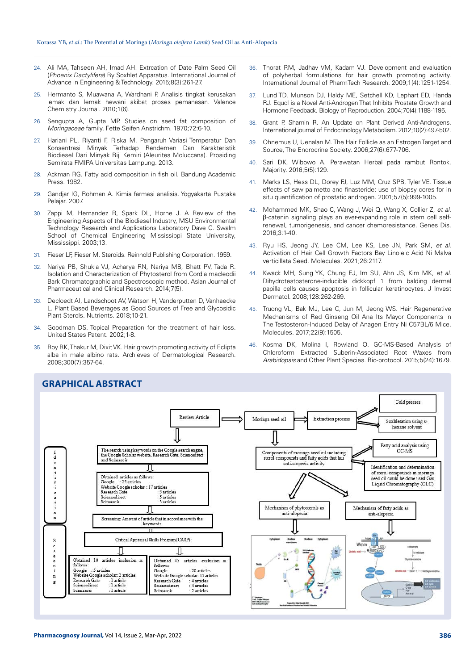- 24. Ali MA, Tahseen AH, Imad AH. Extrcation of Date Palm Seed Oil (*Phoenix Dactylifera*) By Soxhlet Apparatus. International Journal of Advance in Engineering & Technology. 2015;8(3):261-27.
- 25. Hermanto S, Muawana A, Wardhani P. Analisis tingkat kerusakan lemak dan lemak hewani akibat proses pemanasan. Valence Chemistry Journal. 2010;1(6).
- 26. Sengupta A, Gupta MP. Studies on seed fat composition of *Moringaceae* family. Fette Seifen Anstrichm. 1970;72:6-10.
- 27. Hariani PL, Riyanti F, Riska M. Pengaruh Variasi Temperatur Dan Konsentrasi Minyak Terhadap Rendemen Dan Karakteristik Biodiesel Dari Minyak Biji Kemiri (Aleurites Moluccana). Prosiding Semirata FMIPA Universitas Lampung. 2013.
- 28. Ackman RG. Fatty acid composition in fish oil. Bandung Academic Press. 1982.
- 29. Gandjar IG, Rohman A. Kimia farmasi analisis. Yogyakarta Pustaka Pelajar. 2007.
- 30. Zappi M, Hernandez R, Spark DL, Horne J. A Review of the Engineering Aspects of the Biodiesel Industry, MSU Environmental Technology Research and Applications Laboratory Dave C. Swalm School of Chemical Engineering Mississippi State University, Mississippi. 2003;13.
- 31. Fieser LF, Fieser M. Steroids. Reinhold Publishing Corporation. 1959.
- 32. Nariya PB, Shukla VJ, Acharya RN, Nariya MB, Bhatt PV, Tada R. Isolation and Characterization of Phytosterol from Cordia macleodii Bark Chromatographic and Spectroscopic method. Asian Journal of Pharmaceutical and Clinical Research. 2014;7(5).
- 33. Decloedt AI, Landschoot AV, Watson H, Vanderputten D, Vanhaecke L. Plant Based Beverages as Good Sources of Free and Glycosidic Plant Sterols. Nutrients. 2018;10-21.
- 34. Goodman DS. Topical Preparation for the treatment of hair loss. United States Patent. 2002;1-8.
- 35. Roy RK, Thakur M, Dixit VK. Hair growth promoting activity of Eclipta alba in male albino rats. Archieves of Dermatological Research. 2008;300(7):357-64.
- 36. Thorat RM, Jadhav VM, Kadam VJ. Development and evaluation of polyherbal formulations for hair growth promoting activity. International Journal of PharmTech Research. 2009;1(4):1251-1254.
- 37. Lund TD, Munson DJ, Haldy ME, Setchell KD, Lephart ED, Handa RJ. Equol is a Novel Anti-Androgen That Inhibits Prostate Growth and Hormone Feedback. Biology of Reproduction. 2004;70(4):1188-1195.
- 38. Grant P, Shamin R. An Update on Plant Derived Anti-Androgens. International journal of Endocrinology Metabolism. 2012;10(2):497-502.
- 39. Ohnemus U, Uenalan M. The Hair Follicle as an Estrogen Target and Source, The Endrocrine Society. 2006;27(6):677-706.
- 40. Sari DK, Wibowo A. Perawatan Herbal pada rambut Rontok. Majority. 2016;5(5):129.
- 41. Marks LS, Hess DL, Dorey FJ, Luz MM, Cruz SPB, Tyler VE. Tissue effects of saw palmetto and finasteride: use of biopsy cores for in situ quantification of prostatic androgen. 2001;57(5):999-1005.
- 42. Mohammed MK, Shao C, Wang J, Wei Q, Wang X, Collier Z, *et al*. β-catenin signaling plays an ever-expanding role in stem cell selfrenewal, tumorigenesis, and cancer chemoresistance. Genes Dis. 2016;3:1-40.
- 43. Ryu HS, Jeong JY, Lee CM, Lee KS, Lee JN, Park SM, *et al*. Activation of Hair Cell Growth Factors Bay Linoleic Acid Ni Malva verticillata Seed. Molecules. 2021;26:2117.
- 44. Kwack MH, Sung YK, Chung EJ, Im SU, Ahn JS, Kim MK, *et al*. Dihydrotestosterone-inducible dickkopf 1 from balding dermal papilla cells causes apoptosis in follicular keratinocytes. J Invest Dermatol. 2008;128:262-269.
- 45. Truong VL, Bak MJ, Lee C, Jun M, Jeong WS. Hair Regenerative Mechanisms of Red Ginseng Oil Ana Its Mayor Components in The Testosteron-Induced Delay of Anagen Entry Ni C57BL/6 Mice. Molecules. 2017;22(9):1505.
- 46. Kosma DK, Molina I, Rowland O. GC-MS-Based Analysis of Chloroform Extracted Suberin-Associated Root Waxes from *Arabidopsis* and Other Plant Species. Bio-protocol. 2015;5(24):1679.



# **GRAPHICAL ABSTRACT**